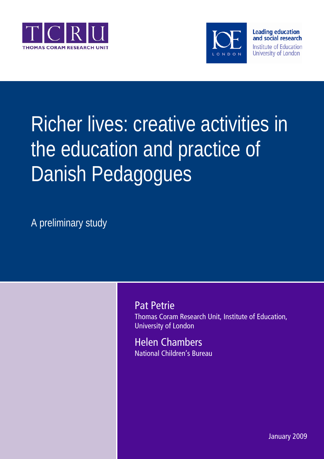



# Richer lives: creative activities in the education and practice of Danish Pedagogues

A preliminary study

Pat Petrie Thomas Coram Research Unit, Institute of Education, University of London

Helen Chambers National Children's Bureau

January 2009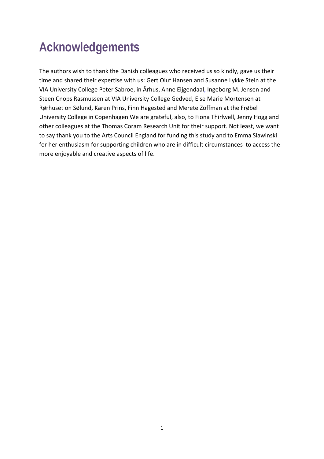## **Acknowledgements**

The authors wish to thank the Danish colleagues who received us so kindly, gave us their time and shared their expertise with us: Gert Oluf Hansen and Susanne Lykke Stein at the VIA University College Peter Sabroe, in Århus, Anne Eijgendaal, Ingeborg M. Jensen and Steen Cnops Rasmussen at VIA University College Gedved, Else Marie Mortensen at Rørhuset on Sølund, Karen Prins, Finn Hagested and Merete Zoffman at the Frøbel University College in Copenhagen We are grateful, also, to Fiona Thirlwell, Jenny Hogg and other colleagues at the Thomas Coram Research Unit for their support. Not least, we want to say thank you to the Arts Council England for funding this study and to Emma Slawinski for her enthusiasm for supporting children who are in difficult circumstances to access the more enjoyable and creative aspects of life.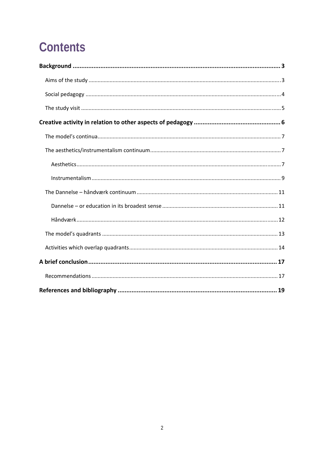## **Contents**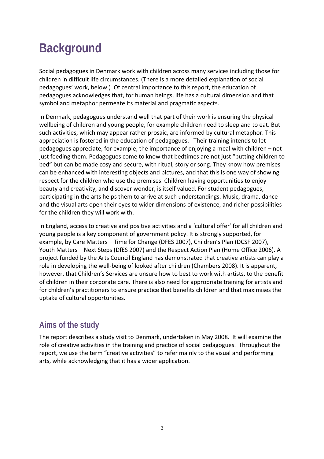## **Background**

Social pedagogues in Denmark work with children across many services including those for children in difficult life circumstances. (There is a more detailed explanation of social pedagogues' work, below.) Of central importance to this report, the education of pedagogues acknowledges that, for human beings, life has a cultural dimension and that symbol and metaphor permeate its material and pragmatic aspects.

In Denmark, pedagogues understand well that part of their work is ensuring the physical wellbeing of children and young people, for example children need to sleep and to eat. But such activities, which may appear rather prosaic, are informed by cultural metaphor. This appreciation is fostered in the education of pedagogues. Their training intends to let pedagogues appreciate, for example, the importance of enjoying a meal with children – not just feeding them. Pedagogues come to know that bedtimes are not just "putting children to bed" but can be made cosy and secure, with ritual, story or song. They know how premises can be enhanced with interesting objects and pictures, and that this is one way of showing respect for the children who use the premises. Children having opportunities to enjoy beauty and creativity, and discover wonder, is itself valued. For student pedagogues, participating in the arts helps them to arrive at such understandings. Music, drama, dance and the visual arts open their eyes to wider dimensions of existence, and richer possibilities for the children they will work with.

In England, access to creative and positive activities and a 'cultural offer' for all children and young people is a key component of government policy. It is strongly supported, for example, by Care Matters – Time for Change (DFES 2007), Children's Plan (DCSF 2007), Youth Matters – Next Steps (DfES 2007) and the Respect Action Plan (Home Office 2006). A project funded by the Arts Council England has demonstrated that creative artists can play a role in developing the well‐being of looked after children (Chambers 2008). It is apparent, however, that Children's Services are unsure how to best to work with artists, to the benefit of children in their corporate care. There is also need for appropriate training for artists and for children's practitioners to ensure practice that benefits children and that maximises the uptake of cultural opportunities.

## **Aims of the study**

The report describes a study visit to Denmark, undertaken in May 2008. It will examine the role of creative activities in the training and practice of social pedagogues. Throughout the report, we use the term "creative activities" to refer mainly to the visual and performing arts, while acknowledging that it has a wider application.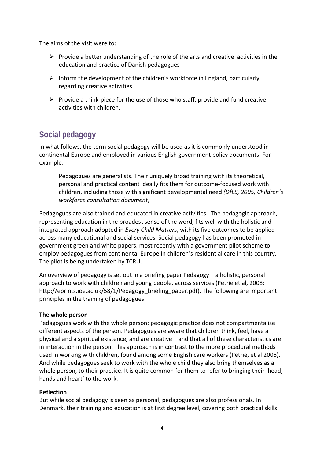The aims of the visit were to:

- $\triangleright$  Provide a better understanding of the role of the arts and creative activities in the education and practice of Danish pedagogues
- $\triangleright$  Inform the development of the children's workforce in England, particularly regarding creative activities
- $\triangleright$  Provide a think-piece for the use of those who staff, provide and fund creative activities with children.

## **Social pedagogy**

In what follows, the term social pedagogy will be used as it is commonly understood in continental Europe and employed in various English government policy documents. For example:

Pedagogues are generalists. Their uniquely broad training with its theoretical, personal and practical content ideally fits them for outcome‐focused work with children, including those with significant developmental need *(DfES, 2005, Children's workforce consultation document)*

Pedagogues are also trained and educated in creative activities. The pedagogic approach, representing education in the broadest sense of the word, fits well with the holistic and integrated approach adopted in *Every Child Matters*, with its five outcomes to be applied across many educational and social services. Social pedagogy has been promoted in government green and white papers, most recently with a government pilot scheme to employ pedagogues from continental Europe in children's residential care in this country. The pilot is being undertaken by TCRU.

An overview of pedagogy is set out in a briefing paper Pedagogy – a holistic, personal approach to work with children and young people, across services (Petrie et al, 2008; http://eprints.ioe.ac.uk/58/1/Pedagogy\_briefing\_paper.pdf). The following are important principles in the training of pedagogues:

### **The whole person**

Pedagogues work with the whole person: pedagogic practice does not compartmentalise different aspects of the person. Pedagogues are aware that children think, feel, have a physical and a spiritual existence, and are creative – and that all of these characteristics are in interaction in the person. This approach is in contrast to the more procedural methods used in working with children, found among some English care workers (Petrie, et al 2006). And while pedagogues seek to work with the whole child they also bring themselves as a whole person, to their practice. It is quite common for them to refer to bringing their 'head, hands and heart' to the work.

#### **Reflection**

But while social pedagogy is seen as personal, pedagogues are also professionals. In Denmark, their training and education is at first degree level, covering both practical skills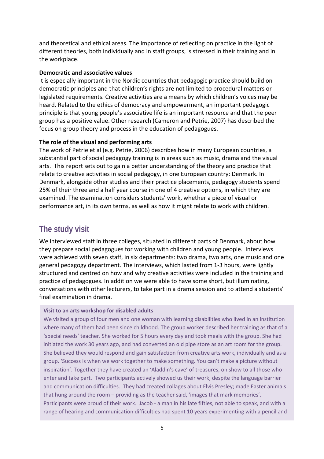and theoretical and ethical areas. The importance of reflecting on practice in the light of different theories, both individually and in staff groups, is stressed in their training and in the workplace.

#### **Democratic and associative values**

It is especially important in the Nordic countries that pedagogic practice should build on democratic principles and that children's rights are not limited to procedural matters or legislated requirements. Creative activities are a means by which children's voices may be heard. Related to the ethics of democracy and empowerment, an important pedagogic principle is that young people's associative life is an important resource and that the peer group has a positive value. Other research (Cameron and Petrie, 2007) has described the focus on group theory and process in the education of pedagogues.

### **The role of the visual and performing arts**

The work of Petrie et al (e.g. Petrie, 2006) describes how in many European countries, a substantial part of social pedagogy training is in areas such as music, drama and the visual arts. This report sets out to gain a better understanding of the theory and practice that relate to creative activities in social pedagogy, in one European country: Denmark. In Denmark, alongside other studies and their practice placements, pedagogy students spend 25% of their three and a half year course in one of 4 creative options, in which they are examined. The examination considers students' work, whether a piece of visual or performance art, in its own terms, as well as how it might relate to work with children.

## **The study visit**

We interviewed staff in three colleges, situated in different parts of Denmark, about how they prepare social pedagogues for working with children and young people. Interviews were achieved with seven staff, in six departments: two drama, two arts, one music and one general pedagogy department. The interviews, which lasted from 1‐3 hours, were lightly structured and centred on how and why creative activities were included in the training and practice of pedagogues. In addition we were able to have some short, but illuminating, conversations with other lecturers, to take part in a drama session and to attend a students' final examination in drama.

#### **Visit to an arts workshop for disabled adults**

We visited a group of four men and one woman with learning disabilities who lived in an institution where many of them had been since childhood. The group worker described her training as that of a 'special needs' teacher. She worked for 5 hours every day and took meals with the group. She had initiated the work 30 years ago, and had converted an old pipe store as an art room for the group. She believed they would respond and gain satisfaction from creative arts work, individually and as a group. 'Success is when we work together to make something. You can't make a picture without inspiration'. Together they have created an 'Aladdin's cave' of treasures, on show to all those who enter and take part. Two participants actively showed us their work, despite the language barrier and communication difficulties. They had created collages about Elvis Presley; made Easter animals that hung around the room – providing as the teacher said, 'images that mark memories'. Participants were proud of their work. Jacob ‐ a man in his late fifties, not able to speak, and with a range of hearing and communication difficulties had spent 10 years experimenting with a pencil and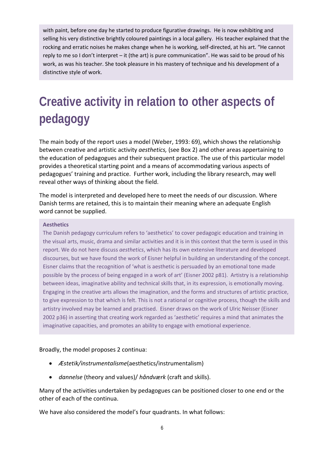with paint, before one day he started to produce figurative drawings. He is now exhibiting and selling his very distinctive brightly coloured paintings in a local gallery. His teacher explained that the rocking and erratic noises he makes change when he is working, self-directed, at his art. "He cannot reply to me so I don't interpret – it (the art) is pure communication". He was said to be proud of his work, as was his teacher. She took pleasure in his mastery of technique and his development of a distinctive style of work.

## **Creative activity in relation to other aspects of pedagogy**

The main body of the report uses a model (Weber, 1993: 69), which shows the relationship between creative and artistic activity *aesthetics,* (see Box 2) and other areas appertaining to the education of pedagogues and their subsequent practice. The use of this particular model provides a theoretical starting point and a means of accommodating various aspects of pedagogues' training and practice. Further work, including the library research, may well reveal other ways of thinking about the field.

The model is interpreted and developed here to meet the needs of our discussion. Where Danish terms are retained, this is to maintain their meaning where an adequate English word cannot be supplied.

#### **Aesthetics**

The Danish pedagogy curriculum refers to 'aesthetics' to cover pedagogic education and training in the visual arts, music, drama and similar activities and it is in this context that the term is used in this report. We do not here discuss *aesthetics*, which has its own extensive literature and developed discourses, but we have found the work of Eisner helpful in building an understanding of the concept. Eisner claims that the recognition of 'what is aesthetic is persuaded by an emotional tone made possible by the process of being engaged in a work of art' (Eisner 2002 p81). Artistry is a relationship between ideas, imaginative ability and technical skills that, in its expression, is emotionally moving. Engaging in the creative arts allows the imagination, and the forms and structures of artistic practice, to give expression to that which is felt. This is not a rational or cognitive process, though the skills and artistry involved may be learned and practised. Eisner draws on the work of Ulric Neisser (Eisner 2002 p36) in asserting that creating work regarded as 'aesthetic' requires a mind that animates the imaginative capacities, and promotes an ability to engage with emotional experience.

### Broadly, the model proposes 2 continua:

- *Æstetik/instrumentalisme*(aesthetics/instrumentalism)
- *dannelse* (theory and values)/ *håndværk* (craft and skills).

Many of the activities undertaken by pedagogues can be positioned closer to one end or the other of each of the continua.

We have also considered the model's four quadrants. In what follows: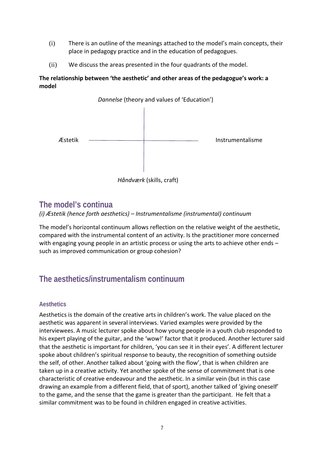- (i) There is an outline of the meanings attached to the model's main concepts, their place in pedagogy practice and in the education of pedagogues.
- (ii) We discuss the areas presented in the four quadrants of the model.

### **The relationship between 'the aesthetic' and other areas of the pedagogue's work: a model**



## **The model's continua**

*(i) Æstetik (hence forth aesthetics) – Instrumentalisme (instrumental) continuum*

The model's horizontal continuum allows reflection on the relative weight of the aesthetic, compared with the instrumental content of an activity. Is the practitioner more concerned with engaging young people in an artistic process or using the arts to achieve other ends – such as improved communication or group cohesion?

## **The aesthetics/instrumentalism continuum**

### **Aesthetics**

Aesthetics is the domain of the creative arts in children's work. The value placed on the aesthetic was apparent in several interviews. Varied examples were provided by the interviewees. A music lecturer spoke about how young people in a youth club responded to his expert playing of the guitar, and the 'wow!' factor that it produced. Another lecturer said that the aesthetic is important for children, 'you can see it in their eyes'. A different lecturer spoke about children's spiritual response to beauty, the recognition of something outside the self, of other. Another talked about 'going with the flow', that is when children are taken up in a creative activity. Yet another spoke of the sense of commitment that is one characteristic of creative endeavour and the aesthetic. In a similar vein (but in this case drawing an example from a different field, that of sport), another talked of 'giving oneself' to the game, and the sense that the game is greater than the participant. He felt that a similar commitment was to be found in children engaged in creative activities.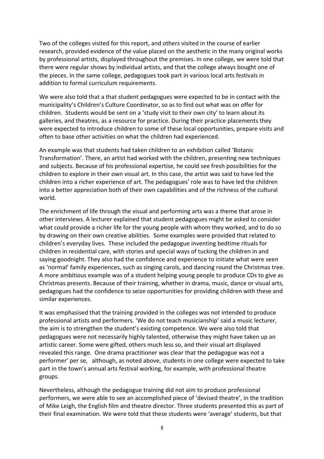Two of the colleges visited for this report, and others visited in the course of earlier research, provided evidence of the value placed on the aesthetic in the many original works by professional artists, displayed throughout the premises. In one college, we were told that there were regular shows by individual artists, and that the college always bought one of the pieces. In the same college, pedagogues took part in various local arts festivals in addition to formal curriculum requirements.

We were also told that a that student pedagogues were expected to be in contact with the municipality's Children's Culture Coordinator, so as to find out what was on offer for children. Students would be sent on a 'study visit to their own city' to learn about its galleries, and theatres, as a resource for practice. During their practice placements they were expected to introduce children to some of these local opportunities, prepare visits and often to base other activities on what the children had experienced.

An example was that students had taken children to an exhibition called 'Botanic Transformation'. There, an artist had worked with the children, presenting new techniques and subjects. Because of his professional expertise, he could see fresh possibilities for the children to explore in their own visual art. In this case, the artist was said to have led the children into a richer experience of art. The pedagogues' role was to have led the children into a better appreciation both of their own capabilities and of the richness of the cultural world.

The enrichment of life through the visual and performing arts was a theme that arose in other interviews. A lecturer explained that student pedagogues might be asked to consider what could provide a richer life for the young people with whom they worked, and to do so by drawing on their own creative abilities. Some examples were provided that related to children's everyday lives. These included the pedagogue inventing bedtime rituals for children in residential care, with stories and special ways of tucking the children in and saying goodnight. They also had the confidence and experience to initiate what were seen as 'normal' family experiences, such as singing carols, and dancing round the Christmas tree. A more ambitious example was of a student helping young people to produce CDs to give as Christmas presents. Because of their training, whether in drama, music, dance or visual arts, pedagogues had the confidence to seize opportunities for providing children with these and similar experiences.

It was emphasised that the training provided in the colleges was not intended to produce professional artists and performers. 'We do not teach musicianship' said a music lecturer, the aim is to strengthen the student's existing competence. We were also told that pedagogues were not necessarily highly talented, otherwise they might have taken up an artistic career. Some were gifted, others much less so, and their visual art displayed revealed this range. One drama practitioner was clear that the pedagogue was not a performer' per se, although, as noted above, students in one college were expected to take part in the town's annual arts festival working, for example, with professional theatre groups.

Nevertheless, although the pedagogue training did not aim to produce professional performers, we were able to see an accomplished piece of 'devised theatre', in the tradition of Mike Leigh, the English film and theatre director. Three students presented this as part of their final examination. We were told that these students were 'average' students, but that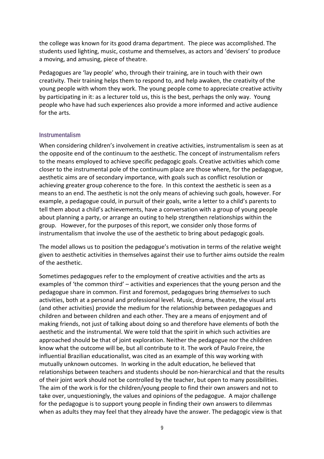the college was known for its good drama department. The piece was accomplished. The students used lighting, music, costume and themselves, as actors and 'devisers' to produce a moving, and amusing, piece of theatre.

Pedagogues are 'lay people' who, through their training, are in touch with their own creativity. Their training helps them to respond to, and help awaken, the creativity of the young people with whom they work. The young people come to appreciate creative activity by participating in it: as a lecturer told us, this is the best, perhaps the only way. Young people who have had such experiences also provide a more informed and active audience for the arts.

#### **Instrumentalism**

When considering children's involvement in creative activities, instrumentalism is seen as at the opposite end of the continuum to the aesthetic. The concept of instrumentalism refers to the means employed to achieve specific pedagogic goals. Creative activities which come closer to the instrumental pole of the continuum place are those where, for the pedagogue, aesthetic aims are of secondary importance, with goals such as conflict resolution or achieving greater group coherence to the fore. In this context the aesthetic is seen as a means to an end. The aesthetic is not the only means of achieving such goals, however. For example, a pedagogue could, in pursuit of their goals, write a letter to a child's parents to tell them about a child's achievements, have a conversation with a group of young people about planning a party, or arrange an outing to help strengthen relationships within the group. However, for the purposes of this report, we consider only those forms of instrumentalism that involve the use of the aesthetic to bring about pedagogic goals.

The model allows us to position the pedagogue's motivation in terms of the relative weight given to aesthetic activities in themselves against their use to further aims outside the realm of the aesthetic.

Sometimes pedagogues refer to the employment of creative activities and the arts as examples of 'the common third' – activities and experiences that the young person and the pedagogue share in common. First and foremost, pedagogues bring *themselves* to such activities, both at a personal and professional level. Music, drama, theatre, the visual arts (and other activities) provide the medium for the relationship between pedagogues and children and between children and each other. They are a means of enjoyment and of making friends, not just of talking about doing so and therefore have elements of both the aesthetic and the instrumental. We were told that the spirit in which such activities are approached should be that of joint exploration. Neither the pedagogue nor the children know what the outcome will be, but all contribute to it. The work of Paulo Freire, the influential Brazilian educationalist, was cited as an example of this way working with mutually unknown outcomes. In working in the adult education, he believed that relationships between teachers and students should be non‐hierarchical and that the results of their joint work should not be controlled by the teacher, but open to many possibilities. The aim of the work is for the children/young people to find their own answers and not to take over, unquestioningly, the values and opinions of the pedagogue. A major challenge for the pedagogue is to support young people in finding their own answers to dilemmas when as adults they may feel that they already have the answer. The pedagogic view is that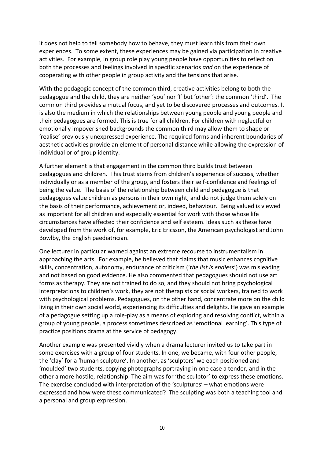it does not help to tell somebody how to behave, they must learn this from their own experiences. To some extent, these experiences may be gained via participation in creative activities. For example, in group role play young people have opportunities to reflect on both the processes and feelings involved in specific scenarios *and* on the experience of cooperating with other people in group activity and the tensions that arise.

With the pedagogic concept of the common third, creative activities belong to both the pedagogue and the child, they are neither 'you' nor 'I' but 'other': the common 'third'. The common third provides a mutual focus, and yet to be discovered processes and outcomes. It is also the medium in which the relationships between young people and young people and their pedagogues are formed. This is true for all children. For children with neglectful or emotionally impoverished backgrounds the common third may allow them to shape or 'realise' previously unexpressed experience. The required forms and inherent boundaries of aesthetic activities provide an element of personal distance while allowing the expression of individual or of group identity.

A further element is that engagement in the common third builds trust between pedagogues and children. This trust stems from children's experience of success, whether individually or as a member of the group, and fosters their self‐confidence and feelings of being the value. The basis of the relationship between child and pedagogue is that pedagogues value children as persons in their own right, and do not judge them solely on the basis of their performance, achievement or, indeed, behaviour. Being valued is viewed as important for all children and especially essential for work with those whose life circumstances have affected their confidence and self esteem. Ideas such as these have developed from the work of, for example, Eric Ericsson, the American psychologist and John Bowlby, the English paediatrician.

One lecturer in particular warned against an extreme recourse to instrumentalism in approaching the arts. For example, he believed that claims that music enhances cognitive skills, concentration, autonomy, endurance of criticism ('*the list is endless*') was misleading and not based on good evidence. He also commented that pedagogues should not use art forms as therapy. They are not trained to do so, and they should not bring psychological interpretations to children's work, they are not therapists or social workers, trained to work with psychological problems. Pedagogues, on the other hand, concentrate more on the child living in their own social world, experiencing its difficulties and delights. He gave an example of a pedagogue setting up a role‐play as a means of exploring and resolving conflict, within a group of young people, a process sometimes described as 'emotional learning'. This type of practice positions drama at the service of pedagogy.

Another example was presented vividly when a drama lecturer invited us to take part in some exercises with a group of four students. In one, we became, with four other people, the 'clay' for a 'human sculpture'. In another, as 'sculptors' we each positioned and 'moulded' two students, copying photographs portraying in one case a tender, and in the other a more hostile, relationship. The aim was for 'the sculptor' to express these emotions. The exercise concluded with interpretation of the 'sculptures' – what emotions were expressed and how were these communicated? The sculpting was both a teaching tool and a personal and group expression.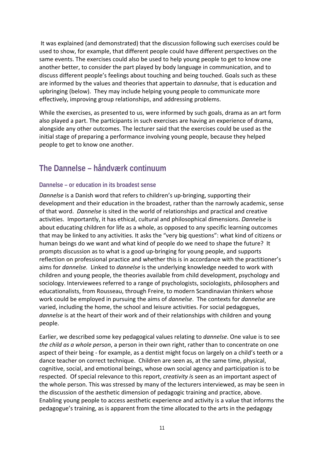It was explained (and demonstrated) that the discussion following such exercises could be used to show, for example, that different people could have different perspectives on the same events. The exercises could also be used to help young people to get to know one another better, to consider the part played by body language in communication, and to discuss different people's feelings about touching and being touched. Goals such as these are informed by the values and theories that appertain to *dannulse*, that is education and upbringing (below). They may include helping young people to communicate more effectively, improving group relationships, and addressing problems.

While the exercises, as presented to us, were informed by such goals, drama as an art form also played a part. The participants in such exercises are having an experience of drama, alongside any other outcomes. The lecturer said that the exercises could be used as the initial stage of preparing a performance involving young people, because they helped people to get to know one another.

## **The Dannelse – håndværk continuum**

### **Dannelse – or education in its broadest sense**

*Dannelse* is a Danish word that refers to children's up-bringing, supporting their development and their education in the broadest, rather than the narrowly academic, sense of that word. *Dannelse* is sited in the world of relationships and practical and creative activities. Importantly, it has ethical, cultural and philosophical dimensions. *Dannelse* is about educating children for life as a whole, as opposed to any specific learning outcomes that may be linked to any activities. It asks the "very big questions": what kind of citizens or human beings do we want and what kind of people do we need to shape the future? It prompts discussion as to what is a good up‐bringing for young people, and supports reflection on professional practice and whether this is in accordance with the practitioner's aims for *dannelse.* Linked to *dannelse* is the underlying knowledge needed to work with children and young people, the theories available from child development, psychology and sociology. Interviewees referred to a range of psychologists, sociologists, philosophers and educationalists, from Rousseau, through Freire, to modern Scandinavian thinkers whose work could be employed in pursuing the aims of *dannelse*. The contexts for *dannelse* are varied, including the home, the school and leisure activities. For social pedagogues, *dannelse* is at the heart of their work and of their relationships with children and young people.

Earlier, we described some key pedagogical values relating to *dannelse*. One value is to see *the child as a whole person*, a person in their own right, rather than to concentrate on one aspect of their being ‐ for example, as a dentist might focus on largely on a child's teeth or a dance teacher on correct technique. Children are seen as, at the same time, physical, cognitive, social, and emotional beings, whose own social agency and participation is to be respected. Of special relevance to this report, *creativity i*s seen as an important aspect of the whole person. This was stressed by many of the lecturers interviewed, as may be seen in the discussion of the aesthetic dimension of pedagogic training and practice, above. Enabling young people to access aesthetic experience and activity is a value that informs the pedagogue's training, as is apparent from the time allocated to the arts in the pedagogy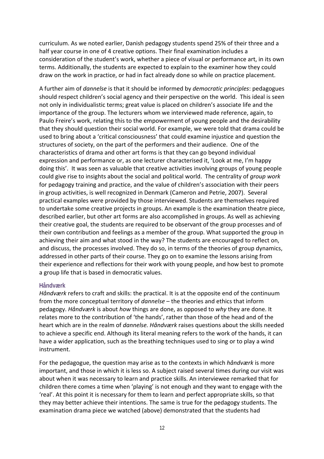curriculum. As we noted earlier, Danish pedagogy students spend 25% of their three and a half year course in one of 4 creative options. Their final examination includes a consideration of the student's work, whether a piece of visual or performance art, in its own terms. Additionally, the students are expected to explain to the examiner how they could draw on the work in practice, or had in fact already done so while on practice placement.

A further aim of *dannelse* is that it should be informed by *democratic principles*: pedagogues should respect children's social agency and their perspective on the world. This ideal is seen not only in individualistic terms; great value is placed on children's associate life and the importance of the group. The lecturers whom we interviewed made reference, again, to Paulo Freire's work, relating this to the empowerment of young people and the desirability that they should question their social world. For example, we were told that drama could be used to bring about a 'critical consciousness' that could examine injustice and question the structures of society, on the part of the performers and their audience. One of the characteristics of drama and other art forms is that they can go beyond individual expression and performance or, as one lecturer characterised it, 'Look at me, I'm happy doing this'. It was seen as valuable that creative activities involving groups of young people could give rise to insights about the social and political world. The centrality of *group work* for pedagogy training and practice, and the value of children's association with their peers in group activities, is well recognized in Denmark (Cameron and Petrie, 2007). Several practical examples were provided by those interviewed. Students are themselves required to undertake some creative projects in groups. An example is the examination theatre piece, described earlier, but other art forms are also accomplished in groups. As well as achieving their creative goal, the students are required to be observant of the group processes and of their own contribution and feelings as a member of the group. What supported the group in achieving their aim and what stood in the way? The students are encouraged to reflect on, and discuss, the processes involved. They do so, in terms of the theories of group dynamics, addressed in other parts of their course. They go on to examine the lessons arising from their experience and reflections for their work with young people, and how best to promote a group life that is based in democratic values.

#### **Håndværk**

*Håndværk* refers to craft and skills: the practical. It is at the opposite end of the continuum from the more conceptual territory of *dannelse* – the theories and ethics that inform pedagogy. *Håndværk* is about *how* things are done, as opposed to *why* they are done. It relates more to the contribution of 'the hands', rather than those of the head and of the heart which are in the realm of *dannelse. Håndværk* raises questions about the skills needed to achieve a specific end. Although its literal meaning refers to the work of the hands, it can have a wider application, such as the breathing techniques used to sing or to play a wind instrument.

For the pedagogue, the question may arise as to the contexts in which *håndværk* is more important, and those in which it is less so. A subject raised several times during our visit was about when it was necessary to learn and practice skills. An interviewee remarked that for children there comes a time when 'playing' is not enough and they want to engage with the 'real'. At this point it is necessary for them to learn and perfect appropriate skills, so that they may better achieve their intentions. The same is true for the pedagogy students. The examination drama piece we watched (above) demonstrated that the students had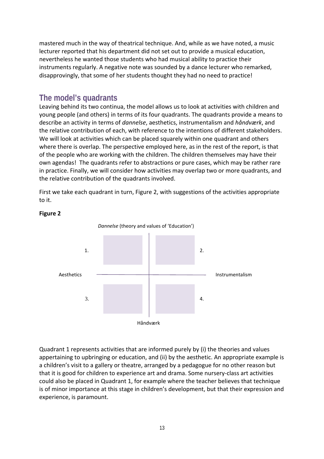mastered much in the way of theatrical technique. And, while as we have noted, a music lecturer reported that his department did not set out to provide a musical education, nevertheless he wanted those students who had musical ability to practice their instruments regularly. A negative note was sounded by a dance lecturer who remarked, disapprovingly, that some of her students thought they had no need to practice!

## **The model's quadrants**

Leaving behind its two continua, the model allows us to look at activities with children and young people (and others) in terms of its four quadrants. The quadrants provide a means to describe an activity in terms of *dannelse*, aesthetics, instrumentalism and *håndværk*, and the relative contribution of each, with reference to the intentions of different stakeholders. We will look at activities which can be placed squarely within one quadrant and others where there is overlap. The perspective employed here, as in the rest of the report, is that of the people who are working with the children. The children themselves may have their own agendas! The quadrants refer to abstractions or pure cases, which may be rather rare in practice. Finally, we will consider how activities may overlap two or more quadrants, and the relative contribution of the quadrants involved.

First we take each quadrant in turn, Figure 2, with suggestions of the activities appropriate to it.



#### **Figure 2**

Quadrant 1 represents activities that are informed purely by (i) the theories and values appertaining to upbringing or education, and (ii) by the aesthetic. An appropriate example is a children's visit to a gallery or theatre, arranged by a pedagogue for no other reason but that it is good for children to experience art and drama. Some nursery‐class art activities could also be placed in Quadrant 1, for example where the teacher believes that technique is of minor importance at this stage in children's development, but that their expression and experience, is paramount.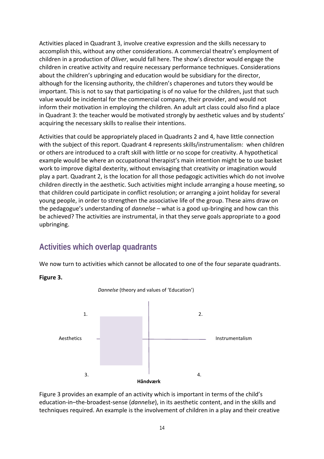Activities placed in Quadrant 3, involve creative expression and the skills necessary to accomplish this, without any other considerations. A commercial theatre's employment of children in a production of *Oliver*, would fall here. The show's director would engage the children in creative activity and require necessary performance techniques. Considerations about the children's upbringing and education would be subsidiary for the director, although for the licensing authority, the children's chaperones and tutors they would be important. This is not to say that participating is of no value for the children, just that such value would be incidental for the commercial company, their provider, and would not inform their motivation in employing the children. An adult art class could also find a place in Quadrant 3: the teacher would be motivated strongly by aesthetic values and by students' acquiring the necessary skills to realise their intentions.

Activities that could be appropriately placed in Quadrants 2 and 4, have little connection with the subject of this report. Quadrant 4 represents skills/instrumentalism: when children or others are introduced to a craft skill with little or no scope for creativity. A hypothetical example would be where an occupational therapist's main intention might be to use basket work to improve digital dexterity, without envisaging that creativity or imagination would play a part. Quadrant 2, is the location for all those pedagogic activities which do not involve children directly in the aesthetic. Such activities might include arranging a house meeting, so that children could participate in conflict resolution; or arranging a joint holiday for several young people, in order to strengthen the associative life of the group. These aims draw on the pedagogue's understanding of *dannelse* – what is a good up‐bringing and how can this be achieved? The activities are instrumental, in that they serve goals appropriate to a good upbringing.

## **Activities which overlap quadrants**

We now turn to activities which cannot be allocated to one of the four separate quadrants.

**Figure 3.** 



Figure 3 provides an example of an activity which is important in terms of the child's education‐in–the‐broadest‐sense (*dannelse*), in its aesthetic content, and in the skills and techniques required. An example is the involvement of children in a play and their creative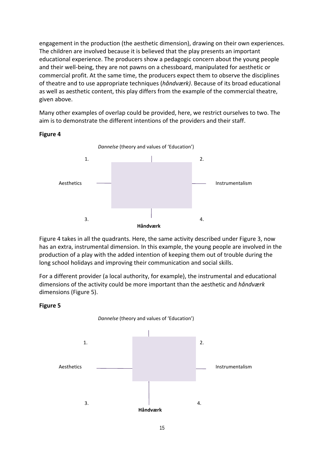engagement in the production (the aesthetic dimension), drawing on their own experiences. The children are involved because it is believed that the play presents an important educational experience. The producers show a pedagogic concern about the young people and their well‐being, they are not pawns on a chessboard, manipulated for aesthetic or commercial profit. At the same time, the producers expect them to observe the disciplines of theatre and to use appropriate techniques (*håndværk)*. Because of its broad educational as well as aesthetic content, this play differs from the example of the commercial theatre, given above.

Many other examples of overlap could be provided, here, we restrict ourselves to two. The aim is to demonstrate the different intentions of the providers and their staff.

#### **Figure 4**



Figure 4 takes in all the quadrants. Here, the same activity described under Figure 3, now has an extra, instrumental dimension. In this example, the young people are involved in the production of a play with the added intention of keeping them out of trouble during the long school holidays and improving their communication and social skills.

For a different provider (a local authority, for example), the instrumental and educational dimensions of the activity could be more important than the aesthetic and *håndværk* dimensions (Figure 5).



#### **Figure 5**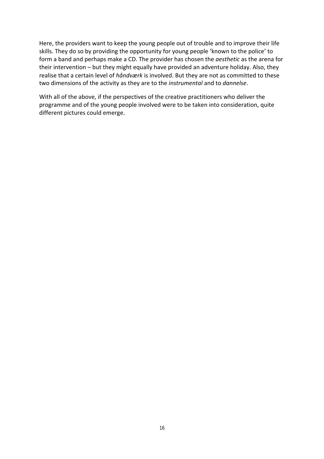Here, the providers want to keep the young people out of trouble and to improve their life skills. They do so by providing the opportunity for young people 'known to the police' to form a band and perhaps make a CD. The provider has chosen the *aesthetic* as the arena for their intervention – but they might equally have provided an adventure holiday. Also, they realise that a certain level of *håndværk* is involved. But they are not as committed to these two dimensions of the activity as they are to the *instrumental* and to *dannelse*.

With all of the above, if the perspectives of the creative practitioners who deliver the programme and of the young people involved were to be taken into consideration, quite different pictures could emerge.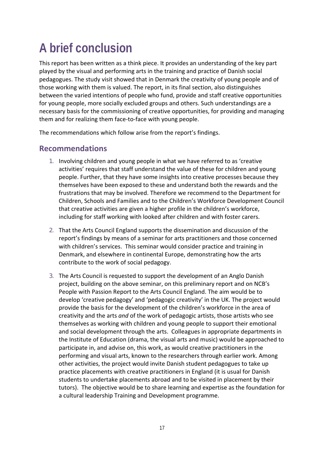## **A brief conclusion**

This report has been written as a think piece. It provides an understanding of the key part played by the visual and performing arts in the training and practice of Danish social pedagogues. The study visit showed that in Denmark the creativity of young people and of those working with them is valued. The report, in its final section, also distinguishes between the varied intentions of people who fund, provide and staff creative opportunities for young people, more socially excluded groups and others. Such understandings are a necessary basis for the commissioning of creative opportunities, for providing and managing them and for realizing them face‐to‐face with young people.

The recommendations which follow arise from the report's findings.

## **Recommendations**

- 1. Involving children and young people in what we have referred to as 'creative activities' requires that staff understand the value of these for children and young people. Further, that they have some insights into creative processes because they themselves have been exposed to these and understand both the rewards and the frustrations that may be involved. Therefore we recommend to the Department for Children, Schools and Families and to the Children's Workforce Development Council that creative activities are given a higher profile in the children's workforce, including for staff working with looked after children and with foster carers.
- 2. That the Arts Council England supports the dissemination and discussion of the report's findings by means of a seminar for arts practitioners and those concerned with children's services. This seminar would consider practice and training in Denmark, and elsewhere in continental Europe, demonstrating how the arts contribute to the work of social pedagogy.
- 3. The Arts Council is requested to support the development of an Anglo Danish project, building on the above seminar, on this preliminary report and on NCB's People with Passion Report to the Arts Council England. The aim would be to develop 'creative pedagogy' and 'pedagogic creativity' in the UK. The project would provide the basis for the development of the children's workforce in the area of creativity and the arts *and* of the work of pedagogic artists, those artists who see themselves as working with children and young people to support their emotional and social development through the arts. Colleagues in appropriate departments in the Institute of Education (drama, the visual arts and music) would be approached to participate in, and advise on, this work, as would creative practitioners in the performing and visual arts, known to the researchers through earlier work. Among other activities, the project would invite Danish student pedagogues to take up practice placements with creative practitioners in England (it is usual for Danish students to undertake placements abroad and to be visited in placement by their tutors). The objective would be to share learning and expertise as the foundation for a cultural leadership Training and Development programme.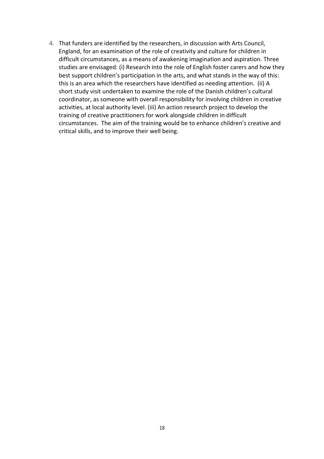4. That funders are identified by the researchers, in discussion with Arts Council, England, for an examination of the role of creativity and culture for children in difficult circumstances, as a means of awakening imagination and aspiration. Three studies are envisaged: (i) Research into the role of English foster carers and how they best support children's participation in the arts, and what stands in the way of this: this is an area which the researchers have identified as needing attention. (ii) A short study visit undertaken to examine the role of the Danish children's cultural coordinator, as someone with overall responsibility for involving children in creative activities, at local authority level. (iii) An action research project to develop the training of creative practitioners for work alongside children in difficult circumstances. The aim of the training would be to enhance children's creative and critical skills, and to improve their well being.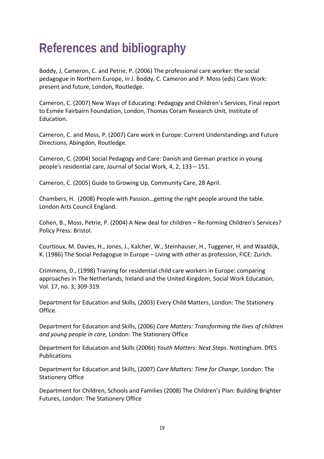## **References and bibliography**

Boddy, J, Cameron, C. and Petrie, P. (2006) The professional care worker: the social pedagogue in Northern Europe, in J. Boddy, C. Cameron and P. Moss (eds) Care Work: present and future, London, Routledge.

Cameron, C. (2007) New Ways of Educating: Pedagogy and Children's Services, Final report to Esmée Fairbairn Foundation, London, Thomas Coram Research Unit, Institute of Education.

Cameron, C. and Moss, P. (2007) Care work in Europe: Current Understandings and Future Directions, Abingdon, Routledge.

Cameron, C. (2004) Social Pedagogy and Care: Danish and German practice in young people's residential care, Journal of Social Work, 4, 2, 133 – 151.

Cameron, C. (2005) Guide to Growing Up, Community Care, 28 April.

Chambers, H. (2008) People with Passion…getting the right people around the table. London Arts Council England.

Cohen, B., Moss, Petrie, P. (2004) A New deal for children – Re‐forming Children's Services? Policy Press: Bristol.

Courtioux, M. Davies, H., Jones, J., Kalcher, W., Steinhauser, H., Tuggener, H. and Waaldijk, K. (1986) The Social Pedagogue in Europe – Living with other as profession, FICE: Zurich.

Crimmens, D., (1998) Training for residential child care workers in Europe: comparing approaches in The Netherlands, Ireland and the United Kingdom, Social Work Education, Vol. 17, no. 3, 309‐319.

Department for Education and Skills, (2003) Every Child Matters, London: The Stationery Office.

Department for Education and Skills, (2006) *Care Matters: Transforming the lives of children and young people in care*, London: The Stationery Office

Department for Education and Skills (2006t) *Youth Matters: Next Steps*. Nottingham. DfES Publications

Department for Education and Skills, (2007) *Care Matters: Time for Change*, London: The Stationery Office

Department for Children, Schools and Families (2008) The Children's Plan: Building Brighter Futures, London: The Stationery Office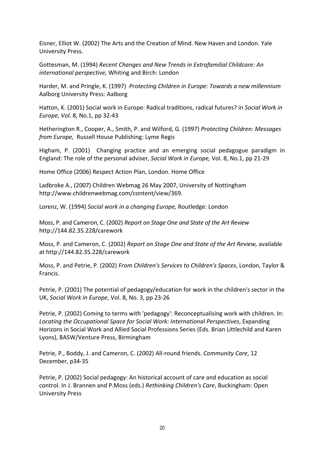Eisner, Elliot W. (2002) The Arts and the Creation of Mind. New Haven and London. Yale University Press.

Gottesman, M. (1994) *Recent Changes and New Trends in Extrafamilial Childcare: An international perspective,* Whiting and Birch: London

Harder, M. and Pringle, K. (1997) *Protecting Children in Europe: Towards a new millennium* Aalborg University Press: Aalborg

Hatton, K. (2001) Social work in Europe: Radical traditions, radical futures? in *Social Work in Europe, Vol.* 8, No.1, pp 32‐43

Hetherington R., Cooper, A., Smith, P. and Wilford, G. (1997) *Protecting Children: Messages from Europe,* Russell House Publishing: Lyme Regis

Higham, P. (2001) Changing practice and an emerging social pedagogue paradigm in England: The role of the personal adviser, *Social Work in Europe,* Vol. 8, No.1, pp 21‐29

Home Office (2006) Respect Action Plan, London. Home Office

Ladbroke A., (2007) Children Webmag 26 May 2007, University of Nottingham http://www.childrenwebmag.com/content/view/369.

Lorenz, W. (1994) *Social work in a changing Europe,* Routledge: London

Moss, P. and Cameron, C. (2002) *Report on Stage One and State of the Art Review* http://144.82.35.228/carework

Moss, P. and Cameron, C. (2002) *Report on Stage One and State of the Art Review,* available at http://144.82.35.228/carework

Moss, P. and Petrie, P. (2002) *From Children's Services to Children's Spaces*, London, Taylor & Francis.

Petrie, P. (2001) The potential of pedagogy/education for work in the children's sector in the UK, *Social Work in Europe*, Vol. 8, No. 3, pp 23‐26

Petrie, P. (2002) Coming to terms with 'pedagogy': Reconceptualising work with children. In: *Locating the Occupational Space for Social Work: International Perspectives*, Expanding Horizons in Social Work and Allied Social Professions Series (Eds. Brian Littlechild and Karen Lyons), BASW/Venture Press, Birmingham

Petrie, P., Boddy, J. and Cameron, C. (2002) All‐round friends. *Community Care*, 12 December, p34‐35

Petrie, P. (2002) Social pedagogy: An historical account of care and education as social control. In J. Brannen and P.Moss (eds.) *Rethinking Children's Care*, Buckingham: Open University Press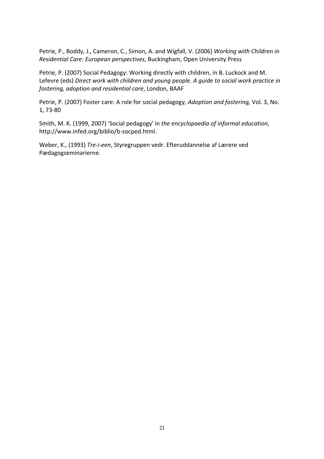Petrie, P., Boddy, J., Cameron, C., Simon, A. and Wigfall, V. (2006) *Working with Children in Residential Care: European perspectives*, Buckingham, Open University Press

Petrie, P. (2007) Social Pedagogy: Working directly with children, in B. Luckock and M. Lefevre (eds) *Direct work with children and young people. A guide to social work practice in fostering, adoption and residential care*, London, BAAF

Petrie, P. (2007) Foster care: A role for social pedagogy, *Adoption and fostering,* Vol. 3, No. 1, 73‐80

Smith, M. K. (1999, 2007) 'Social pedagogy' in *the encyclopaedia of informal education*, http://www.infed.org/biblio/b‐socped.html.

Weber, K., (1993) *Tre‐i‐een*, Styregruppen vedr. Efteruddannelse af Lærere ved Pædagogseminarierne.